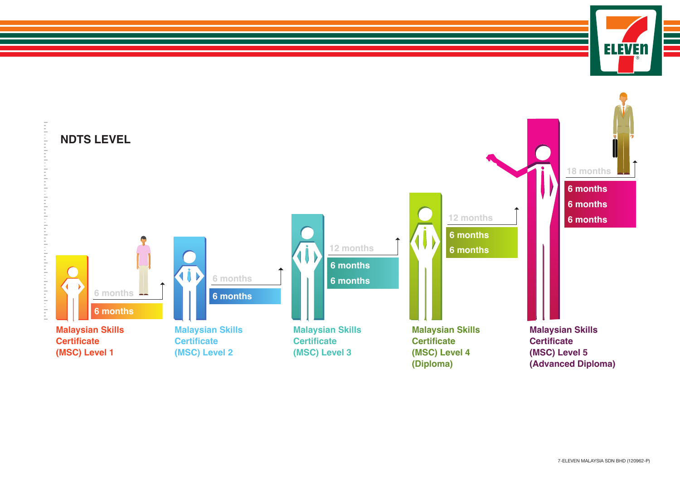

**ELEVEN**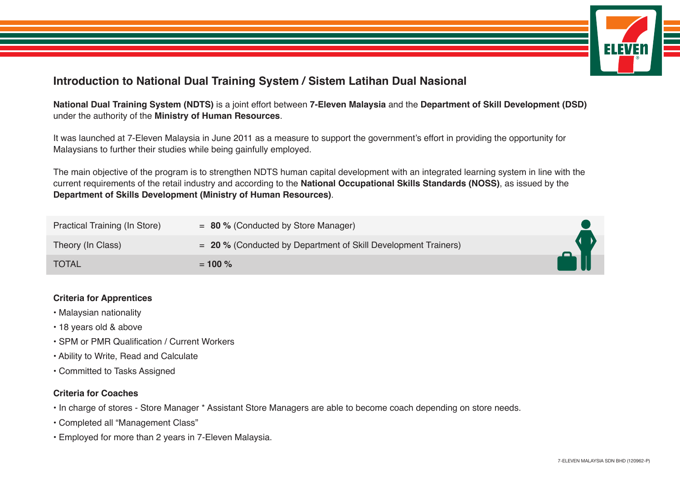

## **Introduction to National Dual Training System / Sistem Latihan Dual Nasional**

**National Dual Training System (NDTS)** is a joint effort between **7-Eleven Malaysia** and the **Department of Skill Development (DSD)** under the authority of the **Ministry of Human Resources**.

It was launched at 7-Eleven Malaysia in June 2011 as a measure to support the government's effort in providing the opportunity for Malaysians to further their studies while being gainfully employed.

The main objective of the program is to strengthen NDTS human capital development with an integrated learning system in line with the current requirements of the retail industry and according to the **National Occupational Skills Standards (NOSS)**, as issued by the **Department of Skills Development (Ministry of Human Resources)**.

| Practical Training (In Store) | $= 80$ % (Conducted by Store Manager)                            |  |
|-------------------------------|------------------------------------------------------------------|--|
| Theory (In Class)             | $= 20$ % (Conducted by Department of Skill Development Trainers) |  |
| <b>TOTAL</b>                  | $= 100 \%$                                                       |  |

## **Criteria for Apprentices**

- Malaysian nationality
- 18 years old & above
- SPM or PMR Qualification / Current Workers
- Ability to Write, Read and Calculate
- Committed to Tasks Assigned

## **Criteria for Coaches**

- In charge of stores Store Manager \* Assistant Store Managers are able to become coach depending on store needs.
- Completed all "Management Class"
- Employed for more than 2 years in 7-Eleven Malaysia.